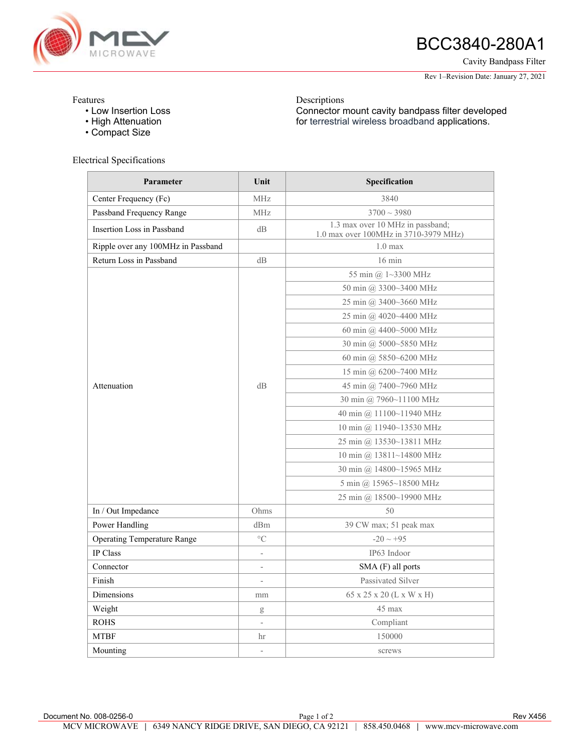

# BCC3840-280A1

Cavity Bandpass Filter

Rev 1–Revision Date: January 27, 2021

#### Features

- Low Insertion Loss
- High Attenuation
- Compact Size

## Electrical Specifications

**Parameter Unit Unit Specification** Center Frequency (Fc) MHz MHz 3840 Passband Frequency Range MHz MHz 3700 ~ 3980 Insertion Loss in Passband dB 1.3 max over 10 MHz in passband;<br> $\frac{1200 \text{ } \text{AU}}{2710,2210,2250 \text{ } \text{AU}}$ 1.0 max over 100MHz in 3710-3979 MHz) Ripple over any 100MHz in Passband 1.0 max Return Loss in Passband dB dB 16 min Attenuation dB 55 min @ 1~3300 MHz 50 min @ 3300~3400 MHz 25 min @ 3400~3660 MHz 25 min @ 4020~4400 MHz 60 min @ 4400~5000 MHz 30 min @ 5000~5850 MHz 60 min @ 5850~6200 MHz 15 min @ 6200~7400 MHz 45 min @ 7400~7960 MHz 30 min @ 7960~11100 MHz 40 min @ 11100~11940 MHz 10 min @ 11940~13530 MHz 25 min @ 13530~13811 MHz 10 min @ 13811~14800 MHz 30 min @ 14800~15965 MHz 5 min @ 15965~18500 MHz 25 min @ 18500~19900 MHz In / Out Impedance 0hms 50 Power Handling dBm dBm 39 CW max; 51 peak max Operating Temperature Range  $\degree$ C -20 ~ +95 IP Class **IP63** Indoor Connector **Connection**  $\overline{SMA (F)}$  all ports Finish Passivated Silver Dimensions mm 65 x 25 x 20 (L x W x H) Weight and the set of the set of the set of the set of the set of the set of the set of the set of the set of the set of the set of the set of the set of the set of the set of the set of the set of the set of the set of th ROHS Compliant **MTBF** hr 150000 Mounting  $\sim$  screws

Descriptions

Connector mount cavity bandpass filter developed for terrestrial wireless broadband applications.